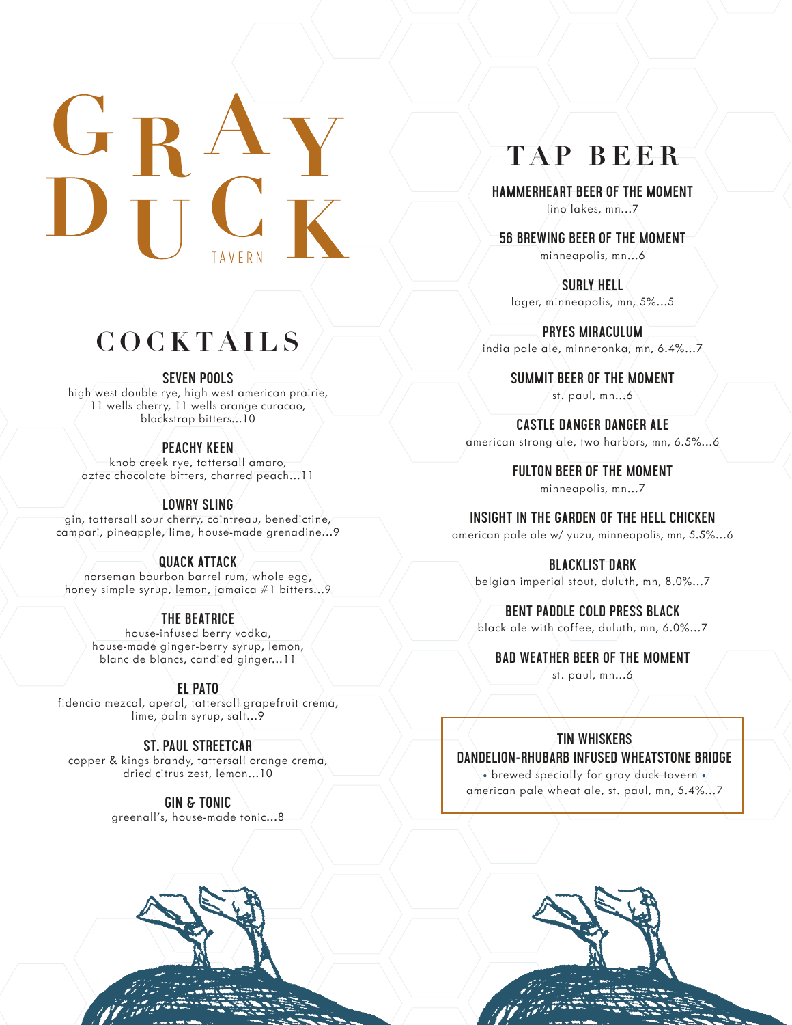# **COCKTAILS**

#### **SEVEN POOLS**

high west double rye, high west american prairie, 11 wells cherry, 11 wells orange curacao, blackstrap bitters...10

### **PEACHY KEEN**

knob creek rye, tattersall amaro, aztec chocolate bitters, charred peach...11

### **LOWRY SLING**

gin, tattersall sour cherry, cointreau, benedictine, campari, pineapple, lime, house-made grenadine...9

### **QUACK ATTACK**

norseman bourbon barrel rum, whole egg, honey simple syrup, lemon, jamaica #1 bitters...9

### **THE BEATRICE**

house-infused berry vodka, house-made ginger-berry syrup, lemon, blanc de blancs, candied ginger...11

### **EL PATO**

fidencio mezcal, aperol, tattersall grapefruit crema, lime, palm syrup, salt...9

### **ST. PAUL STREETCAR**

copper & kings brandy, tattersall orange crema, dried citrus zest, lemon...10

> **GIN & TONIC** greenall's, house-made tonic...8

# **TAP BEER**

**HAMMERHEART BEER OF THE MOMENT** lino lakes, mn...7

**56 BREWING BEER OF THE MOMENT** minneapolis, mn...6

**SURLY HELL** lager, minneapolis, mn, 5%...5

**PRYES MIRACULUM**  india pale ale, minnetonka, mn, 6.4%...7

> **SUMMIT BEER OF THE MOMENT**  st. paul,  $mn..6$

**CASTLE DANGER DANGER ALE**  american strong ale, two harbors, mn, 6.5%...6

> **FULTON BEER OF THE MOMENT** minneapolis, mn...7

**INSIGHT IN THE GARDEN OF THE HELL CHICKEN** 

american pale ale w/ yuzu, minneapolis, mn, 5.5%...6

### **BLACKLIST DARK**

belgian imperial stout, duluth, mn, 8.0%...7

### **BENT PADDLE COLD PRESS BLACK**

black ale with coffee, duluth, mn, 6.0%...7

#### **BAD WEATHER BEER OF THE MOMENT**

st. paul, mn...6

### **TIN WHISKERS**

**DANDELION-RHUBARB INFUSED WHEATSTONE BRIDGE** • brewed specially for gray duck tavern •/ american pale wheat ale, st. paul, mn, 5.4%...7

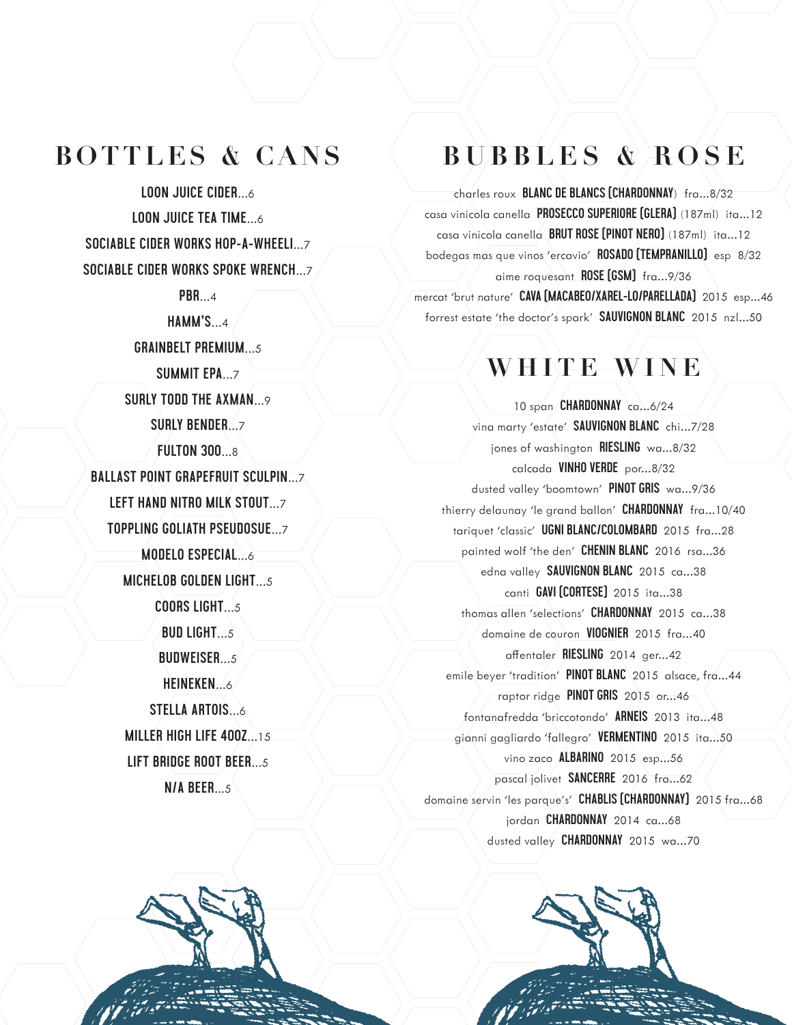### **BOTTLES & CANS**

**LOON JUICE CIDER...6 LOON JUICE TEA TIME...6** SOCIABLE CIDER WORKS HOP-A-WHEELI... 7 **SOCIABLE CIDER WORKS SPOKE WRENCH... 7** 

 $PBR...4$ 

 $HAMM'S...4$ 

**GRAINBELT PREMIUM...5** 

**SUMMIT EPA...7** 

**SURLY TODD THE AXMAN... 9** 

SURLY BENDER 7

**FULTON 300.8** 

**BALLAST POINT GRAPEFRUIT SCULPIN... 7** 

LEFT HAND NITRO MILK STOUT 7

**TOPPLING GOLIATH PSEUDOSUE...7** 

**MODELO ESPECIAL...6** 

MICHELOB GOLDEN LIGHT 5

**COORS LIGHT...5** 

**BUD LIGHT** 

**BUDWEISER 5** 

HEINEKEN

**STELLA ARTOIS... 6** MILLER HIGH LIFE 400Z 15 LIFT BRIDGE ROOT BEER...5

 $N/A$  BEER...5

## **BUBBLES & ROSE**

charles roux **BLANC DE BLANCS (CHARDONNAY**) fra...8/32 casa vinicola canella PROSECCO SUPERIORE [GLERA] (187ml) ita...12 casa vinicola canella **BRUT ROSE [PINOT NERO]** (187ml) ita...12 bodegas mas que vinos 'ercavio' ROSADO [TEMPRANILLO] esp 8/32 aime roquesant ROSE [GSM] fra...9/36 mercat 'brut nature' CAVA [MACABEO/XAREL-LO/PARELLADA] 2015 esp...46 forrest estate 'the doctor's spark' SAUVIGNON BLANC 2015 nzl...50

### WHITE WINE

10 span/CHARDONNAY ca...6/24 vina marty 'estate' SAUVIGNON BLANC chi...7/28 jones of washington RIESLING wa...8/32 calcada VINHO VERDE por...8/32 dusted valley 'boomtown' PINOT GRIS wa...9/36 thierry delaunay 'le grand ballon' CHARDONNAY fra...10/40 tariquet 'classic' UGNI BLANC/COLOMBARD 2015 fra...28 painted wolf 'the den' CHENIN BLANC 2016 rsa...36 edna valley SAUVIGNON BLANC 2015 ca...38 canti GAVI [CORTESE] 2015 ita...38 thomas allen 'selections' CHARDONNAY 2015 ca...38 domaine de couron VIOGNIER 2015 fra...40 affentaler RIESLING 2014 ger...42 emile beyer 'tradition' PINOT BLANC 2015 alsace, fra...44 raptor ridge PINOT GRIS 2015 or ... 46 fontanafredda 'briccotondo' ARNEIS 2013 ita...48 gianni gagliardo 'fallegro' VERMENTINO 2015 ita...50 vino zaco ALBARINO 2015 esp...56 pascal jolivet **SANCERRE** 2016 fra...62 domaine servin 'les parque's' CHABLIS [CHARDONNAY] 2015 fra...68 jordan CHARDONNAY 2014 ca...68 dusted valley CHARDONNAY 2015 wa...70

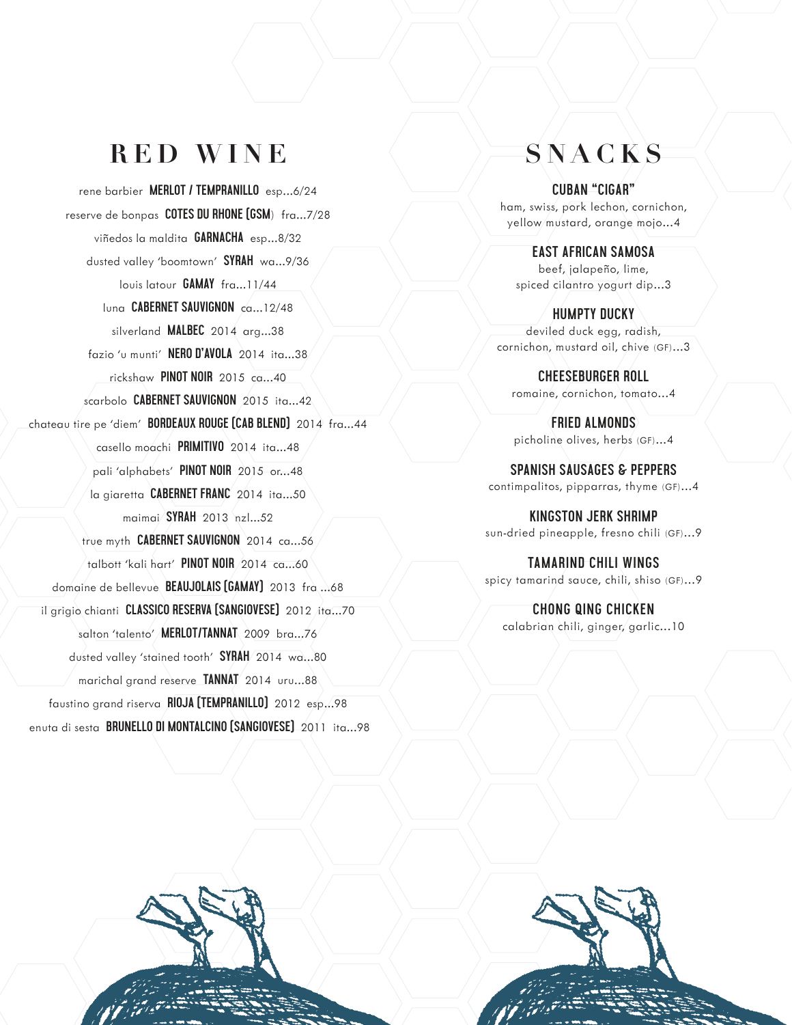### **RED WINE SNACKS**

rene barbier **MERLOT / TEMPRANILLO** esp...6/24 reserve de bonpas **COTES DU RHONE (GSM**) fra...7/28 viñedos la maldita **GARNACHA** esp...8/32 dusted valley 'boomtown' **SYRAH** wa...9/36 louis latour **GAMAY** fra...11/44 luna **CABERNET SAUVIGNON** ca...12/48 silverland **MALBEC** 2014 arg...38 fazio 'u munti' **NERO D'AVOLA** 2014 ita...38 rickshaw **PINOT NOIR** 2015 ca...40 scarbolo **CABERNET SAUVIGNON** 2015 ita...42 chateau tire pe 'diem' **BORDEAUX ROUGE (CAB BLEND)** 2014 fra...44 casello moachi **PRIMITIVO** 2014 ita...48 pali 'alphabets' **PINOT NOIR** 2015 or...48 la giaretta **CABERNET FRANC** 2014 ita...50 maimai **SYRAH** 2013 nzl...52 true myth **CABERNET SAUVIGNON** 2014 ca...56 talbott 'kali hart' **PINOT NOIR** 2014 ca...60 domaine de bellevue **BEAUJOLAIS (GAMAY)** 2013 fra ...68 il grigio chianti **CLASSICO RESERVA (SANGIOVESE)** 2012 ita...70 salton 'talento' **MERLOT/TANNAT** 2009 bra...76 dusted valley 'stained tooth' **SYRAH** 2014 wa...80 marichal grand reserve **TANNAT** 2014 uru...88 faustino grand riserva **RIOJA (TEMPRANILLO)** 2012 esp...98 enuta di sesta **BRUNELLO DI MONTALCINO (SANGIOVESE)** 2011 ita...98

**CUBAN "CIGAR"** ham, swiss, pork lechon, cornichon, yellow mustard, orange mojo...4

**EAST AFRICAN SAMOSA** beef, jalapeño, lime, spiced cilantro yogurt dip...3

**HUMPTY DUCKY** deviled duck egg, radish, cornichon, mustard oil, chive (GF)...3

**CHEESEBURGER ROLL** romaine, cornichon, tomato...4

**FRIED ALMONDS** picholine olives, herbs (GF)...4

**SPANISH SAUSAGES & PEPPERS** contimpalitos, pipparras, thyme (GF)...4

**KINGSTON JERK SHRIMP** sun-dried pineapple, fresno chili (GF)...9

**TAMARIND CHILI WINGS** spicy tamarind sauce, chili, shiso (GF)...9

**CHONG QING CHICKEN** calabrian chili, ginger, garlic...10